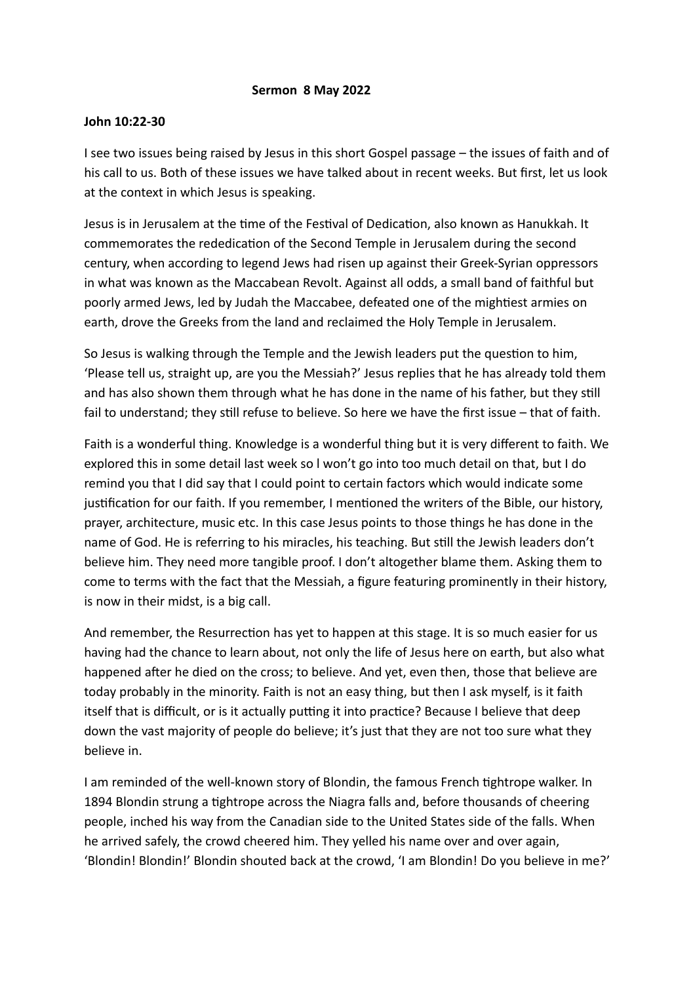## **Sermon 8 May 2022**

## **John 10:22-30**

I see two issues being raised by Jesus in this short Gospel passage – the issues of faith and of his call to us. Both of these issues we have talked about in recent weeks. But first, let us look at the context in which Jesus is speaking.

Jesus is in Jerusalem at the time of the Festival of Dedication, also known as Hanukkah. It commemorates the rededication of the Second Temple in Jerusalem during the second century, when according to legend Jews had risen up against their Greek-Syrian oppressors in what was known as the Maccabean Revolt. Against all odds, a small band of faithful but poorly armed Jews, led by Judah the Maccabee, defeated one of the mightiest armies on earth, drove the Greeks from the land and reclaimed the Holy Temple in Jerusalem.

So Jesus is walking through the Temple and the Jewish leaders put the question to him, 'Please tell us, straight up, are you the Messiah?' Jesus replies that he has already told them and has also shown them through what he has done in the name of his father, but they still fail to understand; they still refuse to believe. So here we have the first issue – that of faith.

Faith is a wonderful thing. Knowledge is a wonderful thing but it is very different to faith. We explored this in some detail last week so l won't go into too much detail on that, but I do remind you that I did say that I could point to certain factors which would indicate some justification for our faith. If you remember, I mentioned the writers of the Bible, our history, prayer, architecture, music etc. In this case Jesus points to those things he has done in the name of God. He is referring to his miracles, his teaching. But still the Jewish leaders don't believe him. They need more tangible proof. I don't altogether blame them. Asking them to come to terms with the fact that the Messiah, a figure featuring prominently in their history, is now in their midst, is a big call.

And remember, the Resurrection has yet to happen at this stage. It is so much easier for us having had the chance to learn about, not only the life of Jesus here on earth, but also what happened after he died on the cross; to believe. And yet, even then, those that believe are today probably in the minority. Faith is not an easy thing, but then I ask myself, is it faith itself that is difficult, or is it actually putting it into practice? Because I believe that deep down the vast majority of people do believe; it's just that they are not too sure what they believe in.

I am reminded of the well-known story of Blondin, the famous French tightrope walker. In 1894 Blondin strung a tightrope across the Niagra falls and, before thousands of cheering people, inched his way from the Canadian side to the United States side of the falls. When he arrived safely, the crowd cheered him. They yelled his name over and over again, 'Blondin! Blondin!' Blondin shouted back at the crowd, 'I am Blondin! Do you believe in me?'